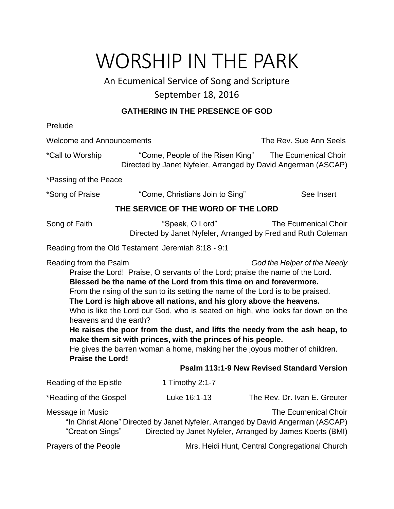# WORSHIP IN THE PARK

# An Ecumenical Service of Song and Scripture September 18, 2016

## **GATHERING IN THE PRESENCE OF GOD**

Prelude Welcome and Announcements The Rev. Sue Ann Seels \*Call to Worship "Come, People of the Risen King" The Ecumenical Choir Directed by Janet Nyfeler, Arranged by David Angerman (ASCAP) \*Passing of the Peace \*Song of Praise "Come, Christians Join to Sing" See Insert **THE SERVICE OF THE WORD OF THE LORD** Song of Faith "Speak, O Lord" The Ecumenical Choir Directed by Janet Nyfeler, Arranged by Fred and Ruth Coleman Reading from the Old Testament Jeremiah 8:18 - 9:1 Reading from the Psalm *God the Helper of the Needy* Praise the Lord! Praise, O servants of the Lord; praise the name of the Lord. **Blessed be the name of the Lord from this time on and forevermore.** From the rising of the sun to its setting the name of the Lord is to be praised. **The Lord is high above all nations, and his glory above the heavens.** Who is like the Lord our God, who is seated on high, who looks far down on the heavens and the earth? **He raises the poor from the dust, and lifts the needy from the ash heap, to make them sit with princes, with the princes of his people.** He gives the barren woman a home, making her the joyous mother of children. **Praise the Lord! Psalm 113:1-9 New Revised Standard Version**  Reading of the Epistle 1 Timothy 2:1-7 \*Reading of the Gospel Luke 16:1-13 The Rev. Dr. Ivan E. Greuter Message in Music **The Ecumenical Choir** The Ecumenical Choir "In Christ Alone" Directed by Janet Nyfeler, Arranged by David Angerman (ASCAP) "Creation Sings" Directed by Janet Nyfeler, Arranged by James Koerts (BMI) Prayers of the People Mrs. Heidi Hunt, Central Congregational Church